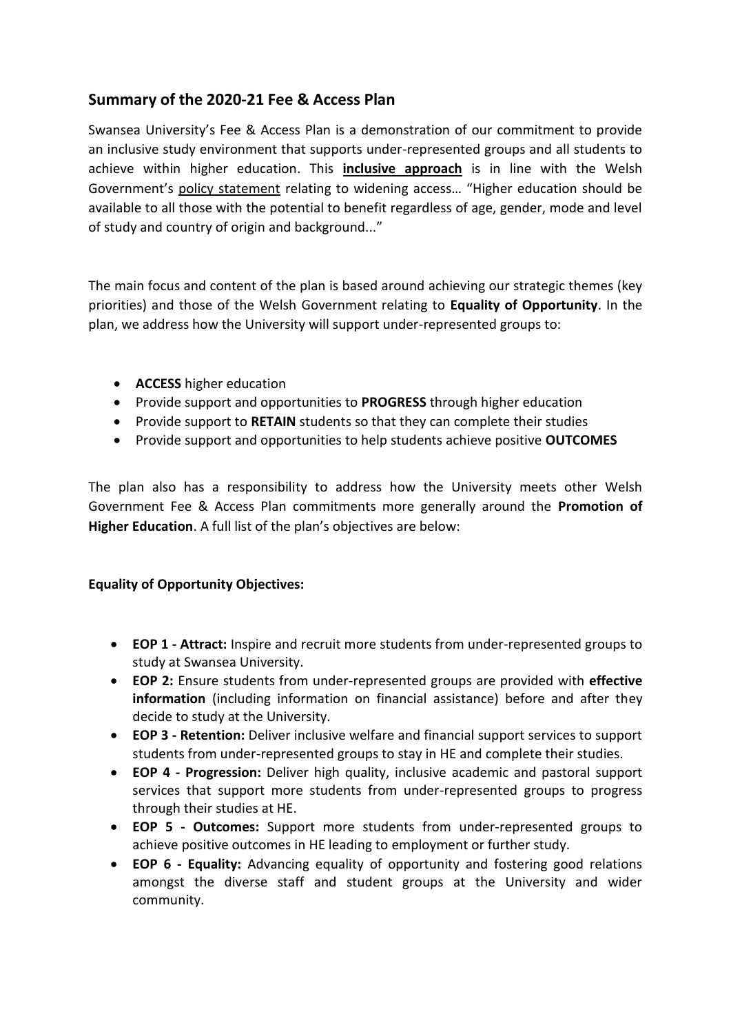## **Summary of the 2020-21 Fee & Access Plan**

Swansea University's Fee & Access Plan is a demonstration of our commitment to provide an inclusive study environment that supports under-represented groups and all students to achieve within higher education. This **inclusive approach** is in line with the Welsh Government's [policy statement](https://www.hefcw.ac.uk/documents/publications/corporate_documents/Policy%20statement%20on%20higher%20education%20English.pdf) relating to widening access… "Higher education should be available to all those with the potential to benefit regardless of age, gender, mode and level of study and country of origin and background..."

The main focus and content of the plan is based around achieving our strategic themes (key priorities) and those of the Welsh Government relating to **Equality of Opportunity**. In the plan, we address how the University will support under-represented groups to:

- **ACCESS** higher education
- Provide support and opportunities to **PROGRESS** through higher education
- Provide support to **RETAIN** students so that they can complete their studies
- Provide support and opportunities to help students achieve positive **OUTCOMES**

The plan also has a responsibility to address how the University meets other Welsh Government Fee & Access Plan commitments more generally around the **Promotion of Higher Education**. A full list of the plan's objectives are below:

## **Equality of Opportunity Objectives:**

- **EOP 1 - Attract:** Inspire and recruit more students from under-represented groups to study at Swansea University.
- **EOP 2:** Ensure students from under-represented groups are provided with **effective information** (including information on financial assistance) before and after they decide to study at the University.
- **EOP 3 - Retention:** Deliver inclusive welfare and financial support services to support students from under-represented groups to stay in HE and complete their studies.
- **EOP 4 - Progression:** Deliver high quality, inclusive academic and pastoral support services that support more students from under-represented groups to progress through their studies at HE.
- **EOP 5 - Outcomes:** Support more students from under-represented groups to achieve positive outcomes in HE leading to employment or further study.
- **EOP 6 - Equality:** Advancing equality of opportunity and fostering good relations amongst the diverse staff and student groups at the University and wider community.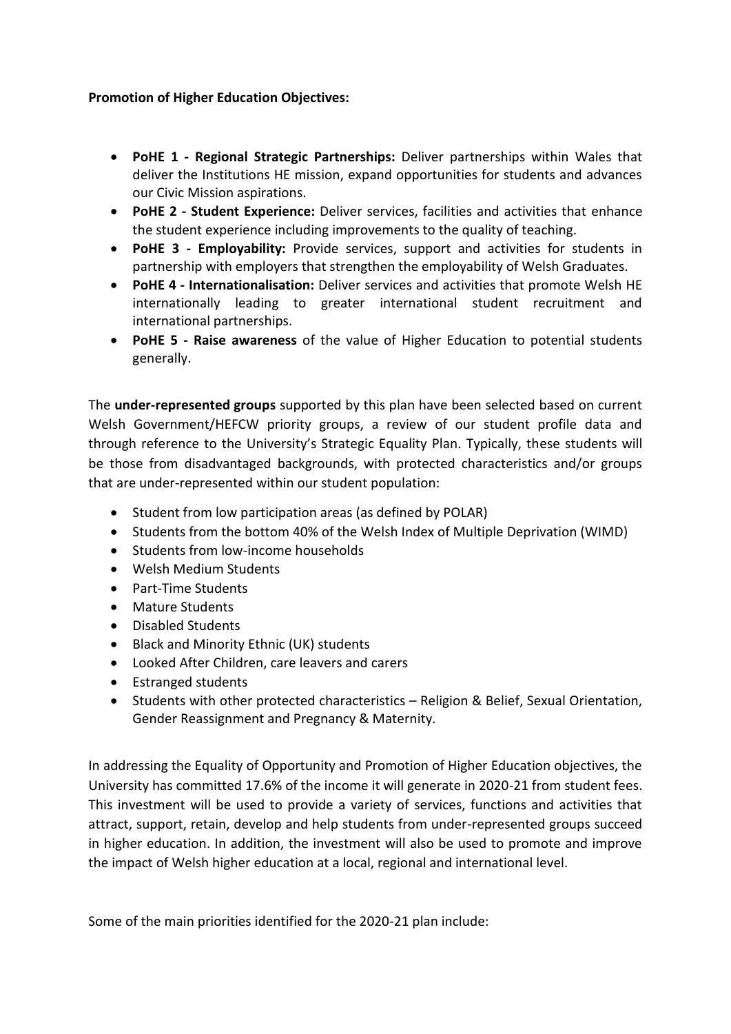## **Promotion of Higher Education Objectives:**

- **PoHE 1 - Regional Strategic Partnerships:** Deliver partnerships within Wales that deliver the Institutions HE mission, expand opportunities for students and advances our Civic Mission aspirations.
- **PoHE 2 - Student Experience:** Deliver services, facilities and activities that enhance the student experience including improvements to the quality of teaching.
- **PoHE 3 - Employability:** Provide services, support and activities for students in partnership with employers that strengthen the employability of Welsh Graduates.
- **PoHE 4 - Internationalisation:** Deliver services and activities that promote Welsh HE internationally leading to greater international student recruitment and international partnerships.
- **PoHE 5 - Raise awareness** of the value of Higher Education to potential students generally.

The **under-represented groups** supported by this plan have been selected based on current Welsh Government/HEFCW priority groups, a review of our student profile data and through reference to the University's Strategic Equality Plan. Typically, these students will be those from disadvantaged backgrounds, with protected characteristics and/or groups that are under-represented within our student population:

- Student from low participation areas (as defined by POLAR)
- Students from the bottom 40% of the Welsh Index of Multiple Deprivation (WIMD)
- Students from low-income households
- Welsh Medium Students
- Part-Time Students
- Mature Students
- Disabled Students
- Black and Minority Ethnic (UK) students
- Looked After Children, care leavers and carers
- Estranged students
- Students with other protected characteristics Religion & Belief, Sexual Orientation, Gender Reassignment and Pregnancy & Maternity.

In addressing the Equality of Opportunity and Promotion of Higher Education objectives, the University has committed 17.6% of the income it will generate in 2020-21 from student fees. This investment will be used to provide a variety of services, functions and activities that attract, support, retain, develop and help students from under-represented groups succeed in higher education. In addition, the investment will also be used to promote and improve the impact of Welsh higher education at a local, regional and international level.

Some of the main priorities identified for the 2020-21 plan include: